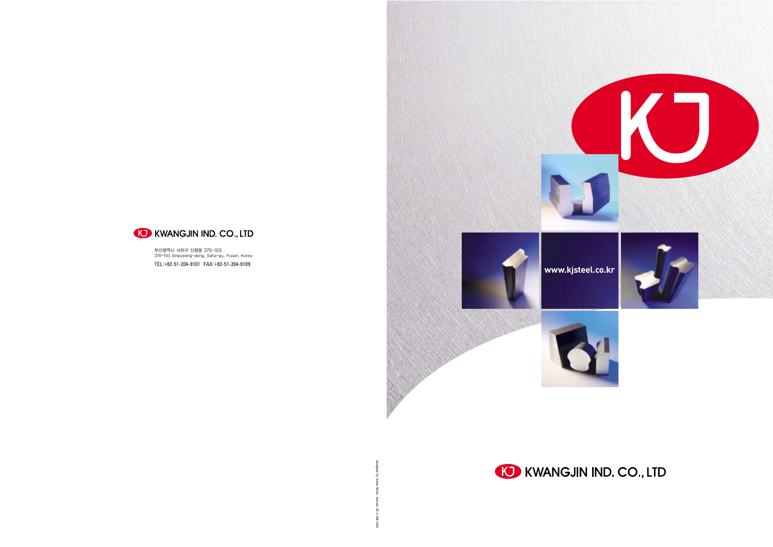Designed by Korea Metal Journal 82-2-583-4161







부산광역시 사하구 신평동 370-103 370-103 Sinpyeong-dong, Saha-gu, Pusan, Korea TEL :+82-51-204-9101 FAX:+82-51-204-9109

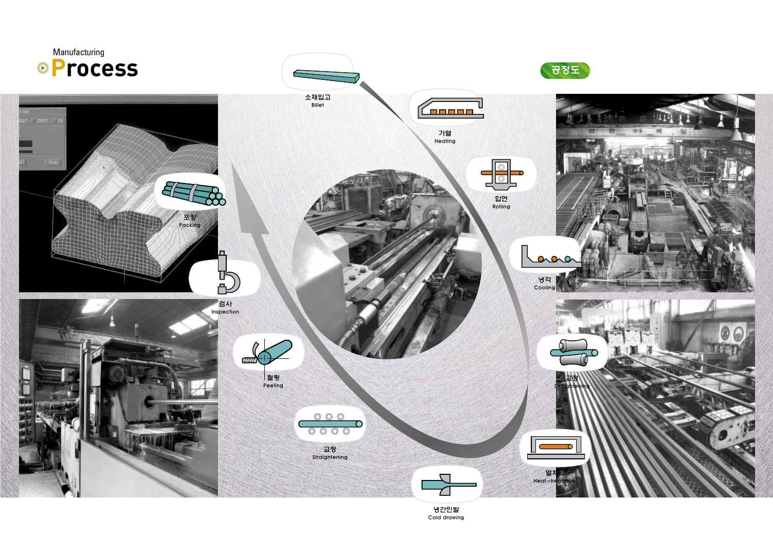

냉간인발 Cold drawing

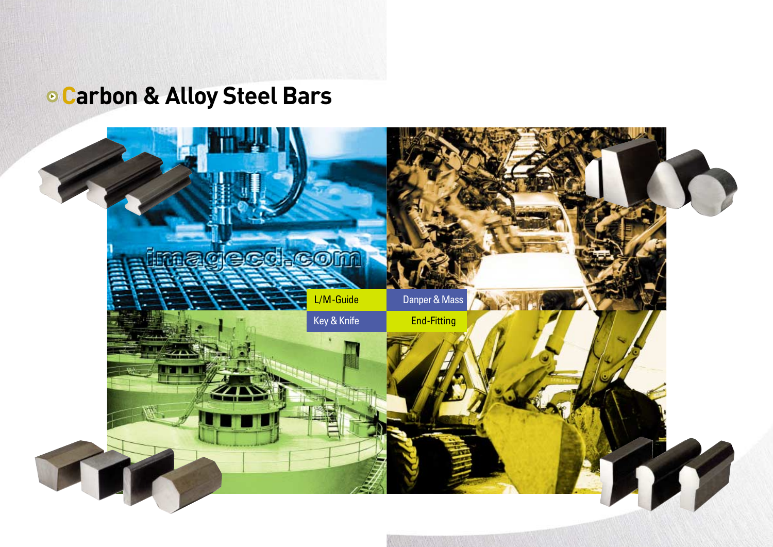## **. Carbon & Alloy Steel Bars**

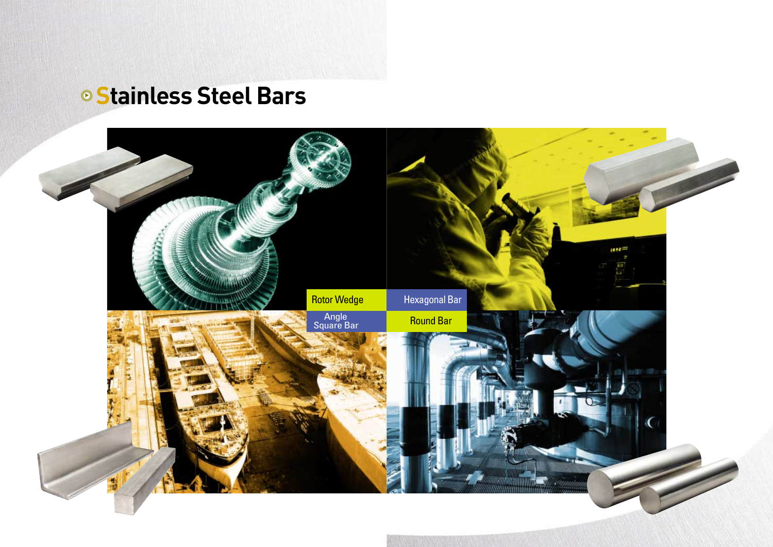# $\circ$  Stainless Steel Bars

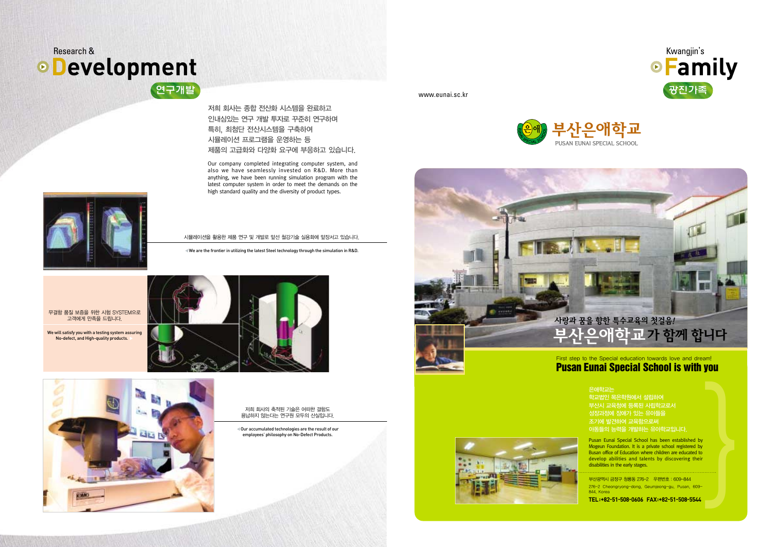무결함 품질 보증을 위한 시험 SYSTEM으로 고객에게 만족을 드립니다.

We will satisfy you with a testing system assuring No-defect, and High-quality products.





저희 회사의 축적된 기술은 어떠한 결함도 용납하지 않는다는 연구원 모두의 산실입니다.

◀Our accumulated technologies are the result of our employees' philosophy on No-Defect Products.

저희 회사는 종합 전산화 시스템을 완료하고 인내심있는 연구 개발 투자로 꾸준히 연구하며 특히, 최첨단 전산시스템을 구축하여 시뮬레이션 프로그램을 운영하는 등 제품의 고급화와 다양화 요구에 부응하고 있습니다.



Our company completed integrating computer system, and also we have seamlessly invested on R&D. More than anything, we have been running simulation program with the latest computer system in order to meet the demands on the high standard quality and the diversity of product types.



www.eunai.sc.kr



시뮬레이션을 활용한 제품 연구 및 개발로 앞선 철강기술 실용화에 앞장서고 있습니다.

◀We are the frontier in utilizing the latest Steel technology through the simulation in R&D.







은애학교는 학교법인 목은학원에서 설립하여 부산시 교육청에 등록된 사립학교로서 성장과정에 장애가 있는 유아들을 조기에 발견하여 교육함으로써 아동들의 능력을 개발하는 유아학교입니다.

Pusan Eunai Special School has been established by Mogeun Foundation. It is a private school registered by Busan office of Education where children are educated to develop abilities and talents by discovering their disabilities in the early stages.

**}** 

부산광역시 금정구 청룡동 276-2 우편번호 : 609-844 276-2 Cheongryong-dong, Geumjeong-gu, Pusan, 609- 844, Korea

**TEL:+82-51-508-0606 FAX:+82-51-508-5544**